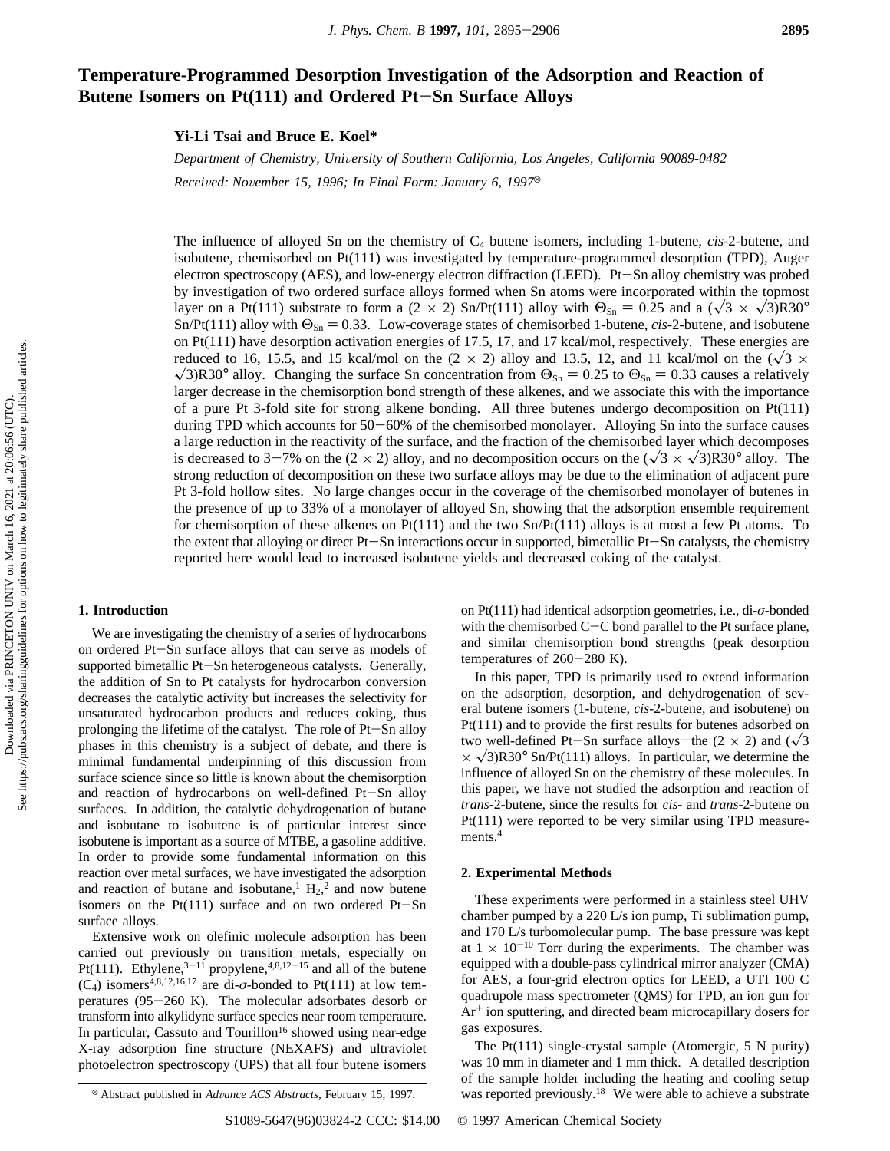# **Temperature-Programmed Desorption Investigation of the Adsorption and Reaction of Butene Isomers on Pt(111) and Ordered Pt**-**Sn Surface Alloys**

**Yi-Li Tsai and Bruce E. Koel\***

*Department of Chemistry, Uni*V*ersity of Southern California, Los Angeles, California 90089-0482 Received: November 15, 1996; In Final Form: January 6, 1997*<sup>8</sup>

The influence of alloyed Sn on the chemistry of C4 butene isomers, including 1-butene, *cis*-2-butene, and isobutene, chemisorbed on Pt(111) was investigated by temperature-programmed desorption (TPD), Auger electron spectroscopy (AES), and low-energy electron diffraction (LEED). Pt-Sn alloy chemistry was probed by investigation of two ordered surface alloys formed when Sn atoms were incorporated within the topmost layer on a Pt(111) substrate to form a (2 × 2) Sn/Pt(111) alloy with  $\Theta_{\text{Sn}} = 0.25$  and a ( $\sqrt{3} \times \sqrt{3}$ )R30° Sn/Pt(111) alloy with  $\Theta_{\text{Sn}} = 0.33$ . Low-coverage states of chemisorbed 1-butene, *cis*-2-butene, and isobutene on Pt(111) have desorption activation energies of 17.5, 17, and 17 kcal/mol, respectively. These energies are reduced to 16, 15.5, and 15 kcal/mol on the (2  $\times$  2) alloy and 13.5, 12, and 11 kcal/mol on the ( $\sqrt{3}$   $\times$  $\sqrt{3}$ R30° alloy. Changing the surface Sn concentration from  $\Theta_{\text{Sn}} = 0.25$  to  $\Theta_{\text{Sn}} = 0.33$  causes a relatively larger decrease in the chemisorption bond strength of these alkenes, and we associate this with the importance of a pure Pt 3-fold site for strong alkene bonding. All three butenes undergo decomposition on Pt(111) during TPD which accounts for 50-60% of the chemisorbed monolayer. Alloying Sn into the surface causes a large reduction in the reactivity of the surface, and the fraction of the chemisorbed layer which decomposes is decreased to 3-7% on the (2 × 2) alloy, and no decomposition occurs on the ( $\sqrt{3} \times \sqrt{3}$ )R30° alloy. The strong reduction of decomposition on these two surface alloys may be due to the elimination of adjacent pure Pt 3-fold hollow sites. No large changes occur in the coverage of the chemisorbed monolayer of butenes in the presence of up to 33% of a monolayer of alloyed Sn, showing that the adsorption ensemble requirement for chemisorption of these alkenes on  $Pt(111)$  and the two  $Sn/Pt(111)$  alloys is at most a few Pt atoms. To the extent that alloying or direct Pt-Sn interactions occur in supported, bimetallic Pt-Sn catalysts, the chemistry reported here would lead to increased isobutene yields and decreased coking of the catalyst.

## **1. Introduction**

We are investigating the chemistry of a series of hydrocarbons on ordered Pt-Sn surface alloys that can serve as models of supported bimetallic Pt-Sn heterogeneous catalysts. Generally, the addition of Sn to Pt catalysts for hydrocarbon conversion decreases the catalytic activity but increases the selectivity for unsaturated hydrocarbon products and reduces coking, thus prolonging the lifetime of the catalyst. The role of Pt-Sn alloy phases in this chemistry is a subject of debate, and there is minimal fundamental underpinning of this discussion from surface science since so little is known about the chemisorption and reaction of hydrocarbons on well-defined Pt-Sn alloy surfaces. In addition, the catalytic dehydrogenation of butane and isobutane to isobutene is of particular interest since isobutene is important as a source of MTBE, a gasoline additive. In order to provide some fundamental information on this reaction over metal surfaces, we have investigated the adsorption and reaction of butane and isobutane,<sup>1</sup>  $H_2$ ,<sup>2</sup> and now butene isomers on the Pt $(111)$  surface and on two ordered Pt-Sn surface alloys.

Extensive work on olefinic molecule adsorption has been carried out previously on transition metals, especially on Pt(111). Ethylene,<sup>3-11</sup> propylene,<sup>4,8,12-15</sup> and all of the butene  $(C_4)$  isomers<sup>4,8,12,16,17</sup> are di- $\sigma$ -bonded to Pt(111) at low temperatures (95-260 K). The molecular adsorbates desorb or transform into alkylidyne surface species near room temperature. In particular, Cassuto and Tourillon<sup>16</sup> showed using near-edge X-ray adsorption fine structure (NEXAFS) and ultraviolet photoelectron spectroscopy (UPS) that all four butene isomers

on Pt(111) had identical adsorption geometries, i.e., di-*σ*-bonded with the chemisorbed C-C bond parallel to the Pt surface plane, and similar chemisorption bond strengths (peak desorption temperatures of  $260-280$  K).

In this paper, TPD is primarily used to extend information on the adsorption, desorption, and dehydrogenation of several butene isomers (1-butene, *cis*-2-butene, and isobutene) on Pt(111) and to provide the first results for butenes adsorbed on two well-defined Pt-Sn surface alloys—the  $(2 \times 2)$  and  $(\sqrt{3})$  $\times \sqrt{3}$ R30° Sn/Pt(111) alloys. In particular, we determine the influence of alloyed Sn on the chemistry of these molecules. In this paper, we have not studied the adsorption and reaction of *trans*-2-butene, since the results for *cis*- and *trans*-2-butene on Pt(111) were reported to be very similar using TPD measurements.<sup>4</sup>

#### **2. Experimental Methods**

These experiments were performed in a stainless steel UHV chamber pumped by a 220 L/s ion pump, Ti sublimation pump, and 170 L/s turbomolecular pump. The base pressure was kept at  $1 \times 10^{-10}$  Torr during the experiments. The chamber was equipped with a double-pass cylindrical mirror analyzer (CMA) for AES, a four-grid electron optics for LEED, a UTI 100 C quadrupole mass spectrometer (QMS) for TPD, an ion gun for Ar<sup>+</sup> ion sputtering, and directed beam microcapillary dosers for gas exposures.

The Pt(111) single-crystal sample (Atomergic, 5 N purity) was 10 mm in diameter and 1 mm thick. A detailed description of the sample holder including the heating and cooling setup <sup>®</sup> Abstract published in *Advance ACS Abstracts*, February 15, 1997. was reported previously.<sup>18</sup> We were able to achieve a substrate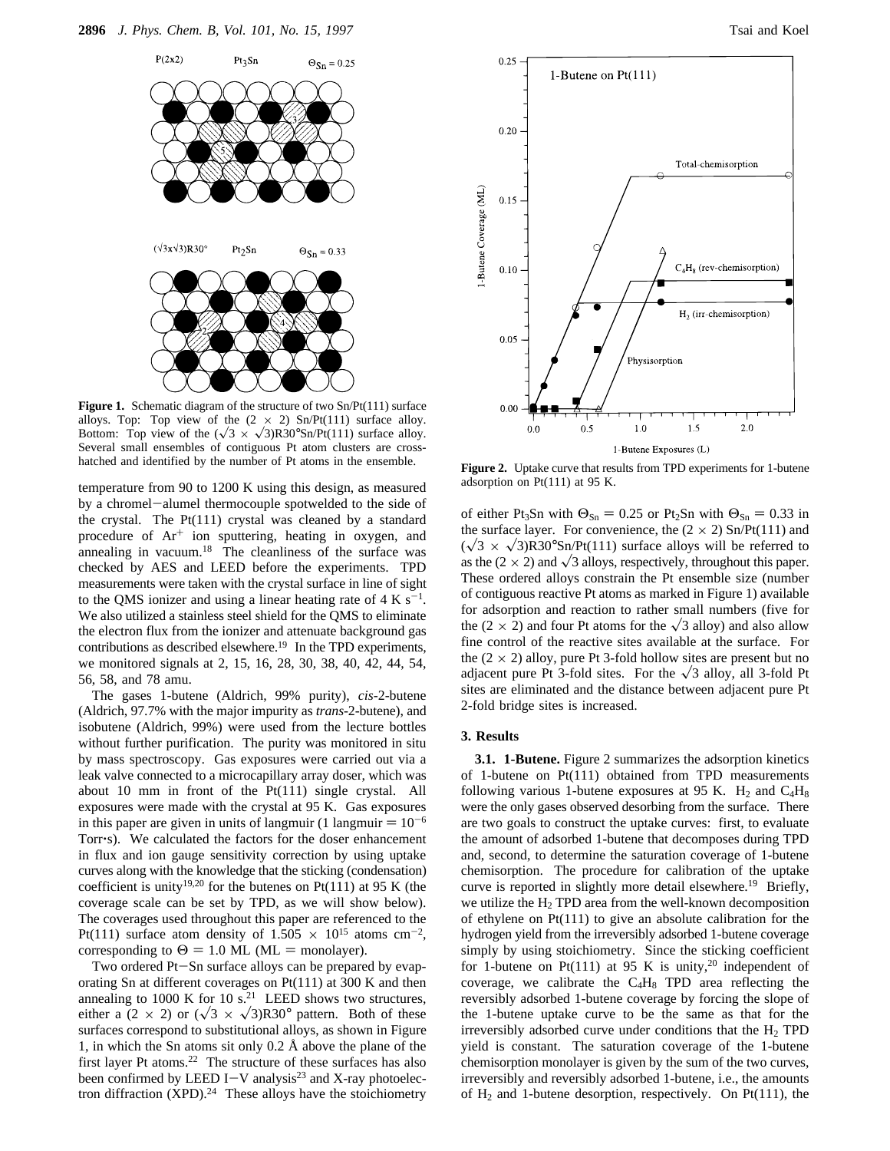**2896** *J. Phys. Chem. B, Vol. 101, No. 15, 1997* Tsai and Koel



Figure 1. Schematic diagram of the structure of two Sn/Pt(111) surface alloys. Top: Top view of the  $(2 \times 2)$  Sn/Pt(111) surface alloy. Bottom: Top view of the  $(\sqrt{3} \times \sqrt{3})R30^{\circ}Sn/Pt(111)$  surface alloy. Several small ensembles of contiguous Pt atom clusters are crosshatched and identified by the number of Pt atoms in the ensemble.<br> **Figure 2.** Uptake curve that results from TPD experiments for 1-butene

temperature from 90 to 1200 K using this design, as measured by a chromel-alumel thermocouple spotwelded to the side of the crystal. The Pt(111) crystal was cleaned by a standard procedure of Ar<sup>+</sup> ion sputtering, heating in oxygen, and annealing in vacuum.<sup>18</sup> The cleanliness of the surface was checked by AES and LEED before the experiments. TPD measurements were taken with the crystal surface in line of sight to the QMS ionizer and using a linear heating rate of  $4 \text{ K s}^{-1}$ . We also utilized a stainless steel shield for the QMS to eliminate the electron flux from the ionizer and attenuate background gas contributions as described elsewhere.<sup>19</sup> In the TPD experiments, we monitored signals at 2, 15, 16, 28, 30, 38, 40, 42, 44, 54, 56, 58, and 78 amu.

The gases 1-butene (Aldrich, 99% purity), *cis*-2-butene (Aldrich, 97.7% with the major impurity as *trans*-2-butene), and isobutene (Aldrich, 99%) were used from the lecture bottles without further purification. The purity was monitored in situ by mass spectroscopy. Gas exposures were carried out via a leak valve connected to a microcapillary array doser, which was about 10 mm in front of the Pt(111) single crystal. All exposures were made with the crystal at 95 K. Gas exposures in this paper are given in units of langmuir (1 langmuir  $= 10^{-6}$ Torr's). We calculated the factors for the doser enhancement in flux and ion gauge sensitivity correction by using uptake curves along with the knowledge that the sticking (condensation) coefficient is unity<sup>19,20</sup> for the butenes on Pt(111) at 95 K (the coverage scale can be set by TPD, as we will show below). The coverages used throughout this paper are referenced to the Pt(111) surface atom density of 1.505  $\times$  10<sup>15</sup> atoms cm<sup>-2</sup>, corresponding to  $\Theta = 1.0$  ML (ML = monolayer).

Two ordered Pt-Sn surface alloys can be prepared by evaporating Sn at different coverages on Pt(111) at 300 K and then annealing to 1000 K for 10 s.<sup>21</sup> LEED shows two structures, either a  $(2 \times 2)$  or  $(\sqrt{3} \times \sqrt{3})R30^\circ$  pattern. Both of these surfaces correspond to substitutional alloys, as shown in Figure 1, in which the Sn atoms sit only 0.2 Å above the plane of the first layer Pt atoms.<sup>22</sup> The structure of these surfaces has also been confirmed by LEED I-V analysis<sup>23</sup> and X-ray photoelectron diffraction  $(XPD)$ .<sup>24</sup> These alloys have the stoichiometry



adsorption on Pt(111) at 95 K.

of either Pt<sub>3</sub>Sn with  $\Theta_{Sn} = 0.25$  or Pt<sub>2</sub>Sn with  $\Theta_{Sn} = 0.33$  in the surface layer. For convenience, the  $(2 \times 2)$  Sn/Pt(111) and  $(\sqrt{3} \times \sqrt{3})R30^{\circ}Sn/Pt(111)$  surface alloys will be referred to as the (2  $\times$  2) and  $\sqrt{3}$  alloys, respectively, throughout this paper. These ordered alloys constrain the Pt ensemble size (number of contiguous reactive Pt atoms as marked in Figure 1) available for adsorption and reaction to rather small numbers (five for the (2  $\times$  2) and four Pt atoms for the  $\sqrt{3}$  alloy) and also allow fine control of the reactive sites available at the surface. For the  $(2 \times 2)$  alloy, pure Pt 3-fold hollow sites are present but no adjacent pure Pt 3-fold sites. For the  $\sqrt{3}$  alloy, all 3-fold Pt sites are eliminated and the distance between adjacent pure Pt 2-fold bridge sites is increased.

### **3. Results**

**3.1. 1-Butene.** Figure 2 summarizes the adsorption kinetics of 1-butene on Pt(111) obtained from TPD measurements following various 1-butene exposures at 95 K.  $H_2$  and  $C_4H_8$ were the only gases observed desorbing from the surface. There are two goals to construct the uptake curves: first, to evaluate the amount of adsorbed 1-butene that decomposes during TPD and, second, to determine the saturation coverage of 1-butene chemisorption. The procedure for calibration of the uptake curve is reported in slightly more detail elsewhere.<sup>19</sup> Briefly, we utilize the  $H_2$  TPD area from the well-known decomposition of ethylene on Pt(111) to give an absolute calibration for the hydrogen yield from the irreversibly adsorbed 1-butene coverage simply by using stoichiometry. Since the sticking coefficient for 1-butene on Pt(111) at 95 K is unity,<sup>20</sup> independent of coverage, we calibrate the  $C_4H_8$  TPD area reflecting the reversibly adsorbed 1-butene coverage by forcing the slope of the 1-butene uptake curve to be the same as that for the irreversibly adsorbed curve under conditions that the  $H_2$  TPD yield is constant. The saturation coverage of the 1-butene chemisorption monolayer is given by the sum of the two curves, irreversibly and reversibly adsorbed 1-butene, i.e., the amounts of  $H_2$  and 1-butene desorption, respectively. On Pt(111), the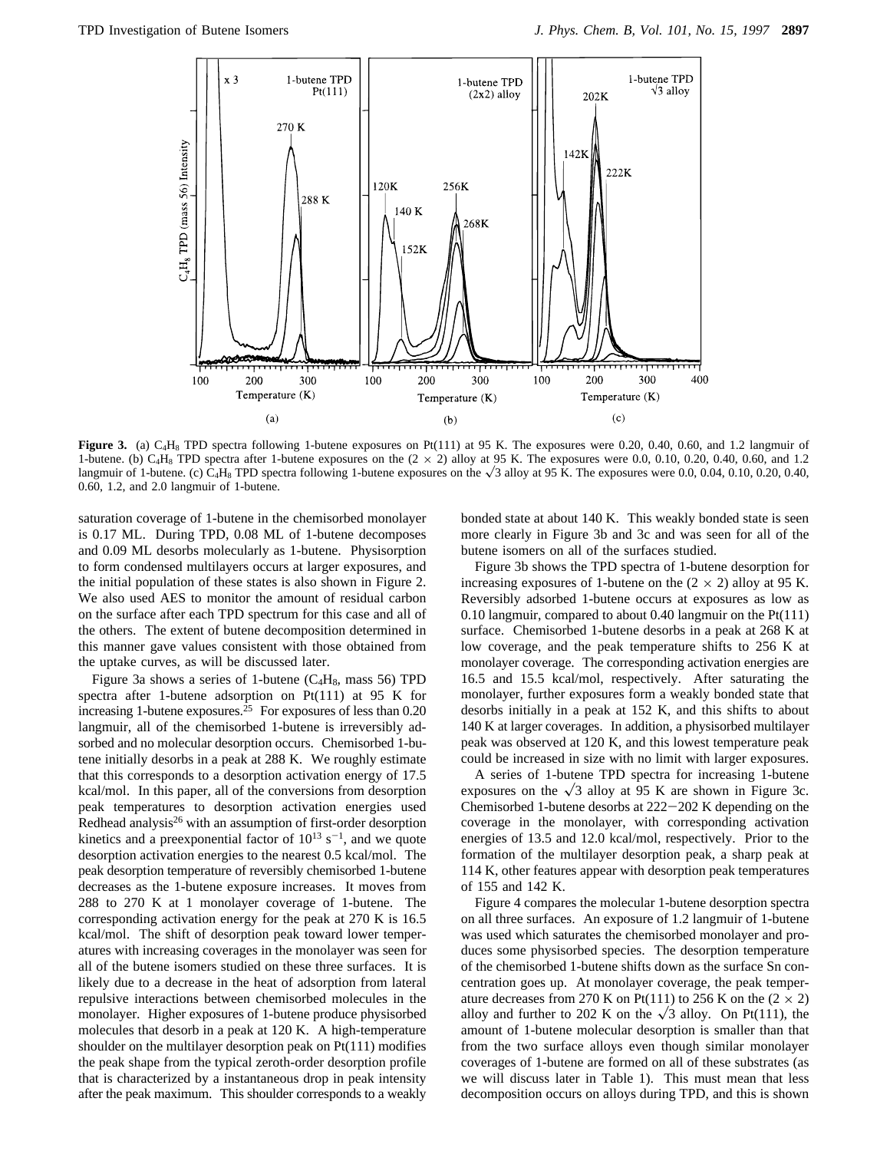

**Figure 3.** (a) C<sub>4</sub>H<sub>8</sub> TPD spectra following 1-butene exposures on Pt(111) at 95 K. The exposures were 0.20, 0.40, 0.60, and 1.2 langmuir of 1-butene. (b) C<sub>4</sub>H<sub>8</sub> TPD spectra after 1-butene exposures on the  $(2 \times 2)$  alloy at 95 K. The exposures were 0.0, 0.10, 0.20, 0.40, 0.60, and 1.2 langmuir of 1-butene. (c) C<sub>4</sub>H<sub>8</sub> TPD spectra following 1-butene exposures on the  $\sqrt{3}$  alloy at 95 K. The exposures were 0.0, 0.04, 0.10, 0.20, 0.40, 0.60, 1.2, and 2.0 langmuir of 1-butene.

saturation coverage of 1-butene in the chemisorbed monolayer is 0.17 ML. During TPD, 0.08 ML of 1-butene decomposes and 0.09 ML desorbs molecularly as 1-butene. Physisorption to form condensed multilayers occurs at larger exposures, and the initial population of these states is also shown in Figure 2. We also used AES to monitor the amount of residual carbon on the surface after each TPD spectrum for this case and all of the others. The extent of butene decomposition determined in this manner gave values consistent with those obtained from the uptake curves, as will be discussed later.

Figure 3a shows a series of 1-butene ( $C_4H_8$ , mass 56) TPD spectra after 1-butene adsorption on Pt(111) at 95 K for increasing 1-butene exposures.<sup>25</sup> For exposures of less than  $0.20$ langmuir, all of the chemisorbed 1-butene is irreversibly adsorbed and no molecular desorption occurs. Chemisorbed 1-butene initially desorbs in a peak at 288 K. We roughly estimate that this corresponds to a desorption activation energy of 17.5 kcal/mol. In this paper, all of the conversions from desorption peak temperatures to desorption activation energies used Redhead analysis<sup>26</sup> with an assumption of first-order desorption kinetics and a preexponential factor of  $10^{13}$  s<sup>-1</sup>, and we quote desorption activation energies to the nearest 0.5 kcal/mol. The peak desorption temperature of reversibly chemisorbed 1-butene decreases as the 1-butene exposure increases. It moves from 288 to 270 K at 1 monolayer coverage of 1-butene. The corresponding activation energy for the peak at 270 K is 16.5 kcal/mol. The shift of desorption peak toward lower temperatures with increasing coverages in the monolayer was seen for all of the butene isomers studied on these three surfaces. It is likely due to a decrease in the heat of adsorption from lateral repulsive interactions between chemisorbed molecules in the monolayer. Higher exposures of 1-butene produce physisorbed molecules that desorb in a peak at 120 K. A high-temperature shoulder on the multilayer desorption peak on Pt(111) modifies the peak shape from the typical zeroth-order desorption profile that is characterized by a instantaneous drop in peak intensity after the peak maximum. This shoulder corresponds to a weakly bonded state at about 140 K. This weakly bonded state is seen more clearly in Figure 3b and 3c and was seen for all of the butene isomers on all of the surfaces studied.

Figure 3b shows the TPD spectra of 1-butene desorption for increasing exposures of 1-butene on the  $(2 \times 2)$  alloy at 95 K. Reversibly adsorbed 1-butene occurs at exposures as low as 0.10 langmuir, compared to about 0.40 langmuir on the Pt(111) surface. Chemisorbed 1-butene desorbs in a peak at 268 K at low coverage, and the peak temperature shifts to 256 K at monolayer coverage. The corresponding activation energies are 16.5 and 15.5 kcal/mol, respectively. After saturating the monolayer, further exposures form a weakly bonded state that desorbs initially in a peak at 152 K, and this shifts to about 140 K at larger coverages. In addition, a physisorbed multilayer peak was observed at 120 K, and this lowest temperature peak could be increased in size with no limit with larger exposures.

A series of 1-butene TPD spectra for increasing 1-butene exposures on the  $\sqrt{3}$  alloy at 95 K are shown in Figure 3c. Chemisorbed 1-butene desorbs at 222-202 K depending on the coverage in the monolayer, with corresponding activation energies of 13.5 and 12.0 kcal/mol, respectively. Prior to the formation of the multilayer desorption peak, a sharp peak at 114 K, other features appear with desorption peak temperatures of 155 and 142 K.

Figure 4 compares the molecular 1-butene desorption spectra on all three surfaces. An exposure of 1.2 langmuir of 1-butene was used which saturates the chemisorbed monolayer and produces some physisorbed species. The desorption temperature of the chemisorbed 1-butene shifts down as the surface Sn concentration goes up. At monolayer coverage, the peak temperature decreases from 270 K on Pt(111) to 256 K on the  $(2 \times 2)$ alloy and further to 202 K on the  $\sqrt{3}$  alloy. On Pt(111), the amount of 1-butene molecular desorption is smaller than that from the two surface alloys even though similar monolayer coverages of 1-butene are formed on all of these substrates (as we will discuss later in Table 1). This must mean that less decomposition occurs on alloys during TPD, and this is shown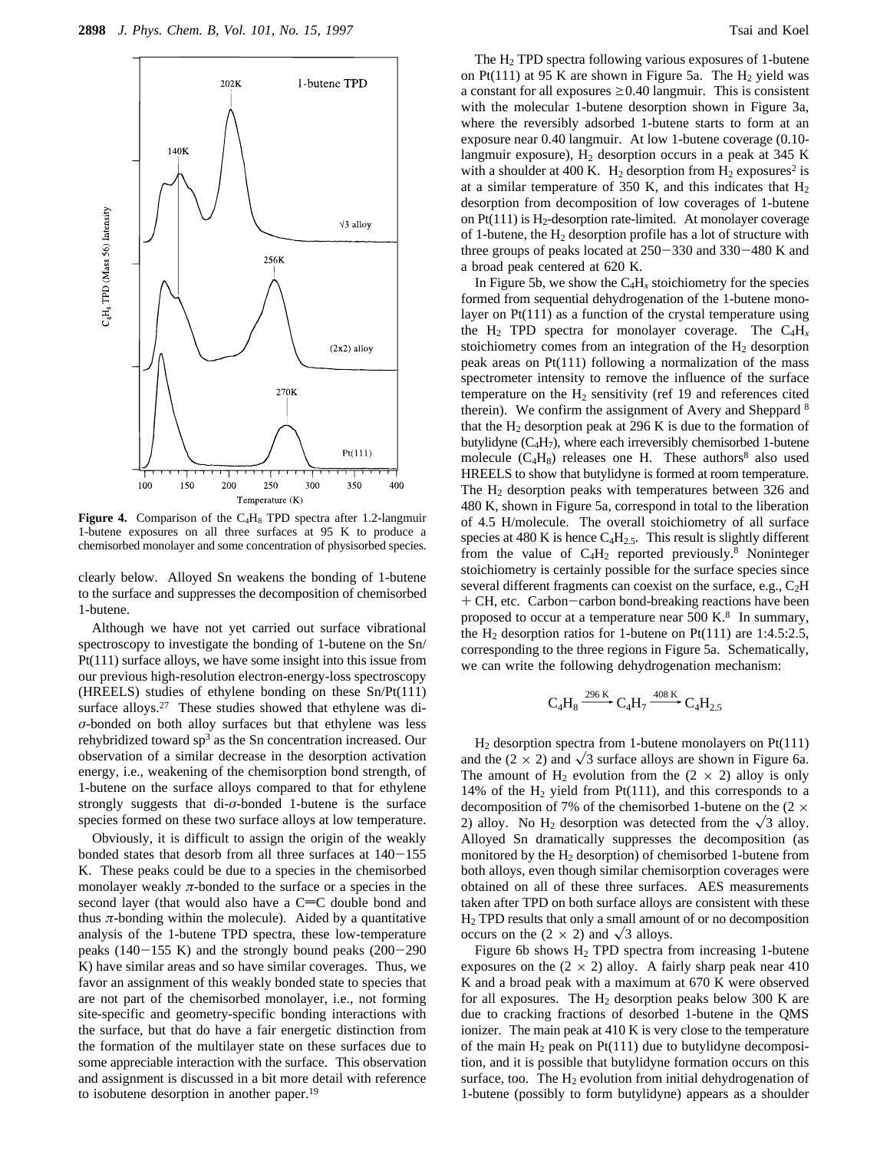

**Figure 4.** Comparison of the C<sub>4</sub>H<sub>8</sub> TPD spectra after 1.2-langmuir 1-butene exposures on all three surfaces at 95 K to produce a chemisorbed monolayer and some concentration of physisorbed species.

clearly below. Alloyed Sn weakens the bonding of 1-butene to the surface and suppresses the decomposition of chemisorbed 1-butene.

Although we have not yet carried out surface vibrational spectroscopy to investigate the bonding of 1-butene on the Sn/ Pt(111) surface alloys, we have some insight into this issue from our previous high-resolution electron-energy-loss spectroscopy (HREELS) studies of ethylene bonding on these Sn/Pt(111) surface alloys.<sup>27</sup> These studies showed that ethylene was di*σ*-bonded on both alloy surfaces but that ethylene was less rehybridized toward  $sp<sup>3</sup>$  as the Sn concentration increased. Our observation of a similar decrease in the desorption activation energy, i.e., weakening of the chemisorption bond strength, of 1-butene on the surface alloys compared to that for ethylene strongly suggests that di- $\sigma$ -bonded 1-butene is the surface species formed on these two surface alloys at low temperature.

Obviously, it is difficult to assign the origin of the weakly bonded states that desorb from all three surfaces at 140-155 K. These peaks could be due to a species in the chemisorbed monolayer weakly  $\pi$ -bonded to the surface or a species in the second layer (that would also have a  $C=C$  double bond and thus  $\pi$ -bonding within the molecule). Aided by a quantitative analysis of the 1-butene TPD spectra, these low-temperature peaks  $(140-155 \text{ K})$  and the strongly bound peaks  $(200-290 \text{ K})$ K) have similar areas and so have similar coverages. Thus, we favor an assignment of this weakly bonded state to species that are not part of the chemisorbed monolayer, i.e., not forming site-specific and geometry-specific bonding interactions with the surface, but that do have a fair energetic distinction from the formation of the multilayer state on these surfaces due to some appreciable interaction with the surface. This observation and assignment is discussed in a bit more detail with reference to isobutene desorption in another paper.19

The  $H_2$  TPD spectra following various exposures of 1-butene on Pt(111) at 95 K are shown in Figure 5a. The  $H_2$  yield was a constant for all exposures  $\geq 0.40$  langmuir. This is consistent with the molecular 1-butene desorption shown in Figure 3a, where the reversibly adsorbed 1-butene starts to form at an exposure near 0.40 langmuir. At low 1-butene coverage (0.10 langmuir exposure),  $H_2$  desorption occurs in a peak at 345 K with a shoulder at 400 K. H<sub>2</sub> desorption from H<sub>2</sub> exposures<sup>2</sup> is at a similar temperature of 350 K, and this indicates that  $H_2$ desorption from decomposition of low coverages of 1-butene on  $Pt(111)$  is  $H_2$ -desorption rate-limited. At monolayer coverage of 1-butene, the  $H_2$  desorption profile has a lot of structure with three groups of peaks located at 250-330 and 330-480 K and a broad peak centered at 620 K.

In Figure 5b, we show the  $C_4H_x$  stoichiometry for the species formed from sequential dehydrogenation of the 1-butene monolayer on Pt(111) as a function of the crystal temperature using the H<sub>2</sub> TPD spectra for monolayer coverage. The  $C_4H_x$ stoichiometry comes from an integration of the  $H_2$  desorption peak areas on Pt(111) following a normalization of the mass spectrometer intensity to remove the influence of the surface temperature on the  $H_2$  sensitivity (ref 19 and references cited therein). We confirm the assignment of Avery and Sheppard <sup>8</sup> that the  $H<sub>2</sub>$  desorption peak at 296 K is due to the formation of butylidyne (C4H7), where each irreversibly chemisorbed 1-butene molecule  $(C_4H_8)$  releases one H. These authors<sup>8</sup> also used HREELS to show that butylidyne is formed at room temperature. The  $H_2$  desorption peaks with temperatures between 326 and 480 K, shown in Figure 5a, correspond in total to the liberation of 4.5 H/molecule. The overall stoichiometry of all surface species at 480 K is hence  $C_4H_{2,5}$ . This result is slightly different from the value of  $C_4H_2$  reported previously.<sup>8</sup> Noninteger stoichiometry is certainly possible for the surface species since several different fragments can coexist on the surface, e.g., C2H + CH, etc. Carbon-carbon bond-breaking reactions have been proposed to occur at a temperature near  $500 \text{ K}$ .<sup>8</sup> In summary, the  $H_2$  desorption ratios for 1-butene on Pt(111) are 1:4.5:2.5, corresponding to the three regions in Figure 5a. Schematically, we can write the following dehydrogenation mechanism: o the three regions in Figure 5a.<br>
e following dehydrogenation n<br>  $C_4H_8 \xrightarrow{296 \text{ K}} C_4H_7 \xrightarrow{408 \text{ K}} C_4H_{2.5}$ 

$$
C_4H_8 \xrightarrow{296 \text{ K}} C_4H_7 \xrightarrow{408 \text{ K}} C_4H_{2.5}
$$

 $H<sub>2</sub>$  desorption spectra from 1-butene monolayers on Pt(111) and the (2  $\times$  2) and  $\sqrt{3}$  surface alloys are shown in Figure 6a. The amount of H<sub>2</sub> evolution from the  $(2 \times 2)$  alloy is only 14% of the  $H_2$  yield from Pt(111), and this corresponds to a decomposition of 7% of the chemisorbed 1-butene on the (2  $\times$ 2) alloy. No H<sub>2</sub> desorption was detected from the  $\sqrt{3}$  alloy. Alloyed Sn dramatically suppresses the decomposition (as monitored by the  $H_2$  desorption) of chemisorbed 1-butene from both alloys, even though similar chemisorption coverages were obtained on all of these three surfaces. AES measurements taken after TPD on both surface alloys are consistent with these H2 TPD results that only a small amount of or no decomposition occurs on the  $(2 \times 2)$  and  $\sqrt{3}$  alloys.

Figure 6b shows  $H_2$  TPD spectra from increasing 1-butene exposures on the  $(2 \times 2)$  alloy. A fairly sharp peak near 410 K and a broad peak with a maximum at 670 K were observed for all exposures. The  $H_2$  desorption peaks below 300 K are due to cracking fractions of desorbed 1-butene in the QMS ionizer. The main peak at 410 K is very close to the temperature of the main  $H_2$  peak on Pt(111) due to butylidyne decomposition, and it is possible that butylidyne formation occurs on this surface, too. The  $H_2$  evolution from initial dehydrogenation of 1-butene (possibly to form butylidyne) appears as a shoulder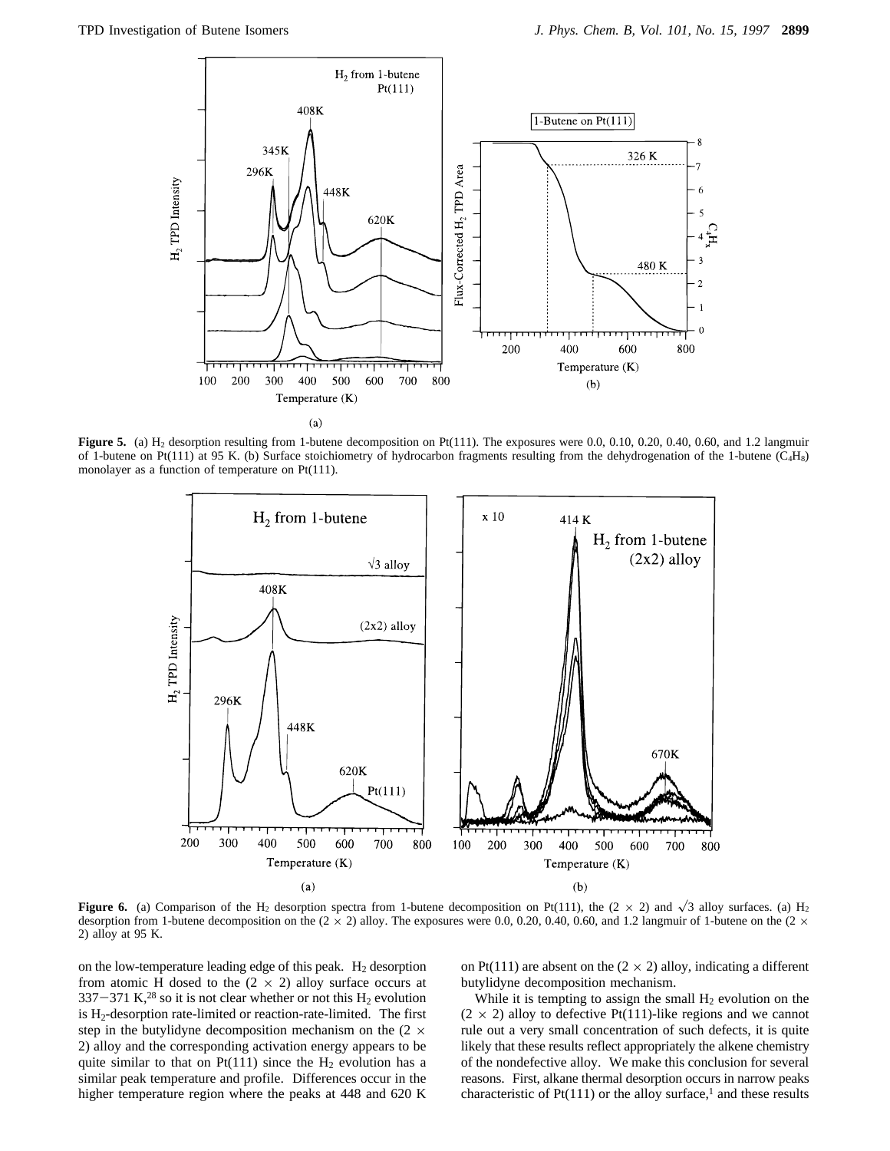

**Figure 5.** (a) H<sub>2</sub> desorption resulting from 1-butene decomposition on Pt(111). The exposures were 0.0, 0.10, 0.20, 0.40, 0.60, and 1.2 langmuir of 1-butene on Pt(111) at 95 K. (b) Surface stoichiometry of hydrocarbon fragments resulting from the dehydrogenation of the 1-butene (C<sub>4</sub>H<sub>8</sub>) monolayer as a function of temperature on Pt(111).



**Figure 6.** (a) Comparison of the H<sub>2</sub> desorption spectra from 1-butene decomposition on Pt(111), the  $(2 \times 2)$  and  $\sqrt{3}$  alloy surfaces. (a) H<sub>2</sub> desorption from 1-butene decomposition on the  $(2 \times 2)$  alloy. The exposures were 0.0, 0.20, 0.40, 0.60, and 1.2 langmuir of 1-butene on the  $(2 \times 2)$ 2) alloy at 95 K.

on the low-temperature leading edge of this peak.  $H_2$  desorption from atomic H dosed to the  $(2 \times 2)$  alloy surface occurs at  $337-371$  K,<sup>28</sup> so it is not clear whether or not this H<sub>2</sub> evolution is H2-desorption rate-limited or reaction-rate-limited. The first step in the butylidyne decomposition mechanism on the  $(2 \times$ 2) alloy and the corresponding activation energy appears to be quite similar to that on Pt(111) since the  $H_2$  evolution has a similar peak temperature and profile. Differences occur in the higher temperature region where the peaks at 448 and 620 K on Pt(111) are absent on the  $(2 \times 2)$  alloy, indicating a different butylidyne decomposition mechanism.

While it is tempting to assign the small  $H_2$  evolution on the  $(2 \times 2)$  alloy to defective Pt(111)-like regions and we cannot rule out a very small concentration of such defects, it is quite likely that these results reflect appropriately the alkene chemistry of the nondefective alloy. We make this conclusion for several reasons. First, alkane thermal desorption occurs in narrow peaks characteristic of  $Pt(111)$  or the alloy surface,<sup>1</sup> and these results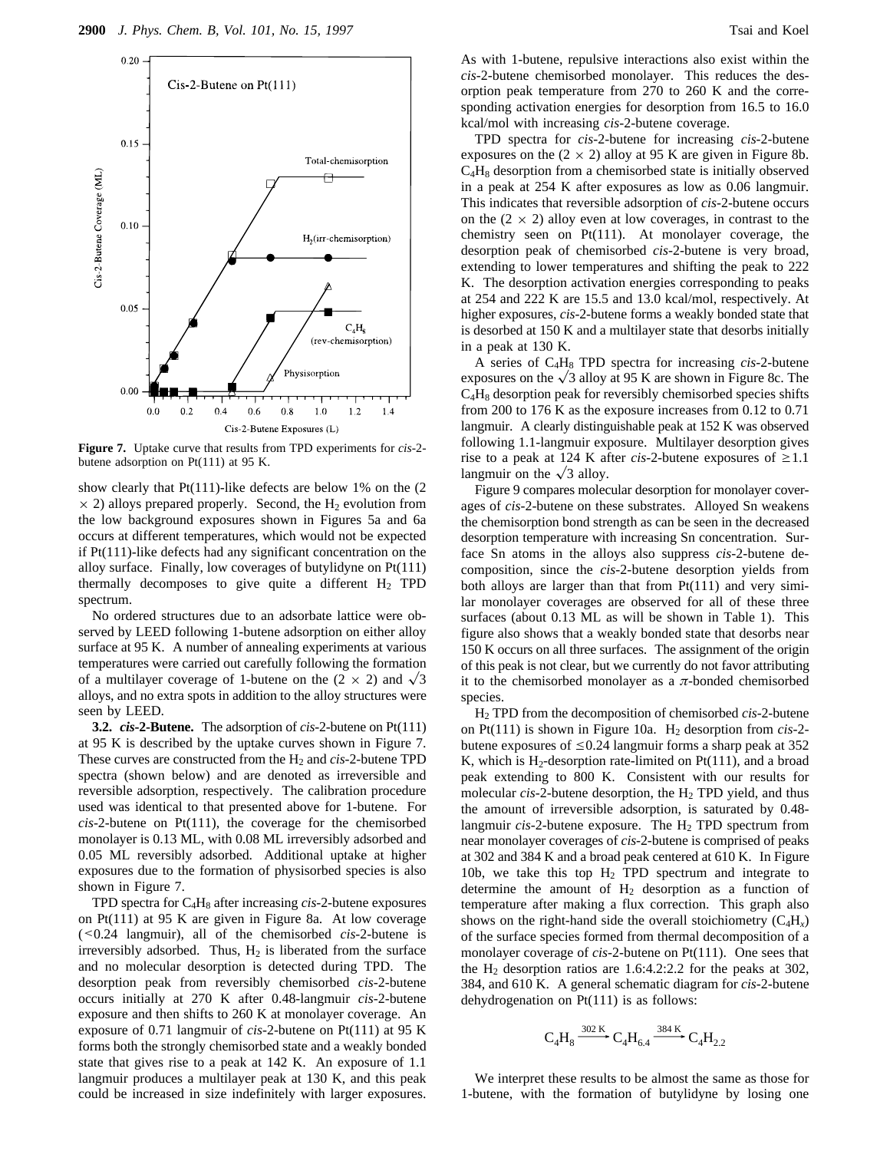

**Figure 7.** Uptake curve that results from TPD experiments for *cis*-2 butene adsorption on Pt(111) at 95 K.

show clearly that Pt(111)-like defects are below 1% on the (2  $\times$  2) alloys prepared properly. Second, the H<sub>2</sub> evolution from the low background exposures shown in Figures 5a and 6a occurs at different temperatures, which would not be expected if Pt(111)-like defects had any significant concentration on the alloy surface. Finally, low coverages of butylidyne on Pt(111) thermally decomposes to give quite a different  $H_2$  TPD spectrum.

No ordered structures due to an adsorbate lattice were observed by LEED following 1-butene adsorption on either alloy surface at 95 K. A number of annealing experiments at various temperatures were carried out carefully following the formation of a multilayer coverage of 1-butene on the  $(2 \times 2)$  and  $\sqrt{3}$ alloys, and no extra spots in addition to the alloy structures were seen by LEED.

**3.2.** *cis***-2-Butene.** The adsorption of *cis*-2-butene on Pt(111) at 95 K is described by the uptake curves shown in Figure 7. These curves are constructed from the  $H_2$  and *cis*-2-butene TPD spectra (shown below) and are denoted as irreversible and reversible adsorption, respectively. The calibration procedure used was identical to that presented above for 1-butene. For *cis*-2-butene on Pt(111), the coverage for the chemisorbed monolayer is 0.13 ML, with 0.08 ML irreversibly adsorbed and 0.05 ML reversibly adsorbed. Additional uptake at higher exposures due to the formation of physisorbed species is also shown in Figure 7.

TPD spectra for C4H8 after increasing *cis*-2-butene exposures on Pt(111) at 95 K are given in Figure 8a. At low coverage (<0.24 langmuir), all of the chemisorbed *cis*-2-butene is irreversibly adsorbed. Thus,  $H_2$  is liberated from the surface and no molecular desorption is detected during TPD. The desorption peak from reversibly chemisorbed *cis*-2-butene occurs initially at 270 K after 0.48-langmuir *cis*-2-butene exposure and then shifts to 260 K at monolayer coverage. An exposure of 0.71 langmuir of *cis*-2-butene on Pt(111) at 95 K forms both the strongly chemisorbed state and a weakly bonded state that gives rise to a peak at 142 K. An exposure of 1.1 langmuir produces a multilayer peak at 130 K, and this peak could be increased in size indefinitely with larger exposures.

As with 1-butene, repulsive interactions also exist within the *cis*-2-butene chemisorbed monolayer. This reduces the desorption peak temperature from 270 to 260 K and the corresponding activation energies for desorption from 16.5 to 16.0 kcal/mol with increasing *cis*-2-butene coverage.

TPD spectra for *cis*-2-butene for increasing *cis*-2-butene exposures on the  $(2 \times 2)$  alloy at 95 K are given in Figure 8b. C4H8 desorption from a chemisorbed state is initially observed in a peak at 254 K after exposures as low as 0.06 langmuir. This indicates that reversible adsorption of *cis*-2-butene occurs on the  $(2 \times 2)$  alloy even at low coverages, in contrast to the chemistry seen on Pt(111). At monolayer coverage, the desorption peak of chemisorbed *cis*-2-butene is very broad, extending to lower temperatures and shifting the peak to 222 K. The desorption activation energies corresponding to peaks at 254 and 222 K are 15.5 and 13.0 kcal/mol, respectively. At higher exposures, *cis*-2-butene forms a weakly bonded state that is desorbed at 150 K and a multilayer state that desorbs initially in a peak at 130 K.

A series of C4H8 TPD spectra for increasing *cis*-2-butene exposures on the  $\sqrt{3}$  alloy at 95 K are shown in Figure 8c. The C4H8 desorption peak for reversibly chemisorbed species shifts from 200 to 176 K as the exposure increases from 0.12 to 0.71 langmuir. A clearly distinguishable peak at 152 K was observed following 1.1-langmuir exposure. Multilayer desorption gives rise to a peak at 124 K after *cis*-2-butene exposures of  $\geq 1.1$ langmuir on the  $\sqrt{3}$  alloy.

Figure 9 compares molecular desorption for monolayer coverages of *cis*-2-butene on these substrates. Alloyed Sn weakens the chemisorption bond strength as can be seen in the decreased desorption temperature with increasing Sn concentration. Surface Sn atoms in the alloys also suppress *cis*-2-butene decomposition, since the *cis*-2-butene desorption yields from both alloys are larger than that from Pt(111) and very similar monolayer coverages are observed for all of these three surfaces (about 0.13 ML as will be shown in Table 1). This figure also shows that a weakly bonded state that desorbs near 150 K occurs on all three surfaces. The assignment of the origin of this peak is not clear, but we currently do not favor attributing it to the chemisorbed monolayer as a  $\pi$ -bonded chemisorbed species.

H2 TPD from the decomposition of chemisorbed *cis*-2-butene on Pt(111) is shown in Figure 10a.  $H_2$  desorption from *cis*-2butene exposures of  $\leq 0.24$  langmuir forms a sharp peak at 352 K, which is  $H_2$ -desorption rate-limited on Pt(111), and a broad peak extending to 800 K. Consistent with our results for molecular *cis*-2-butene desorption, the H<sub>2</sub> TPD yield, and thus the amount of irreversible adsorption, is saturated by 0.48 langmuir *cis*-2-butene exposure. The H<sub>2</sub> TPD spectrum from near monolayer coverages of *cis*-2-butene is comprised of peaks at 302 and 384 K and a broad peak centered at 610 K. In Figure 10b, we take this top  $H_2$  TPD spectrum and integrate to determine the amount of  $H_2$  desorption as a function of temperature after making a flux correction. This graph also shows on the right-hand side the overall stoichiometry  $(C_4H_x)$ of the surface species formed from thermal decomposition of a monolayer coverage of *cis*-2-butene on Pt(111). One sees that the  $H_2$  desorption ratios are 1.6:4.2:2.2 for the peaks at 302, 384, and 610 K. A general schematic diagram for *cis*-2-butene dehydrogenation on Pt(111) is as follows: A general schematic diagram is<br>n on Pt(111) is as follows:<br> $C_4H_8 \xrightarrow{302 \text{ K}} C_4H_{6.4} \xrightarrow{384 \text{ K}} C_4H_{2.2}$ 

$$
C_4H_8 \xrightarrow{302 \text{ K}} C_4H_{6.4} \xrightarrow{384 \text{ K}} C_4H_{2.2}
$$

We interpret these results to be almost the same as those for 1-butene, with the formation of butylidyne by losing one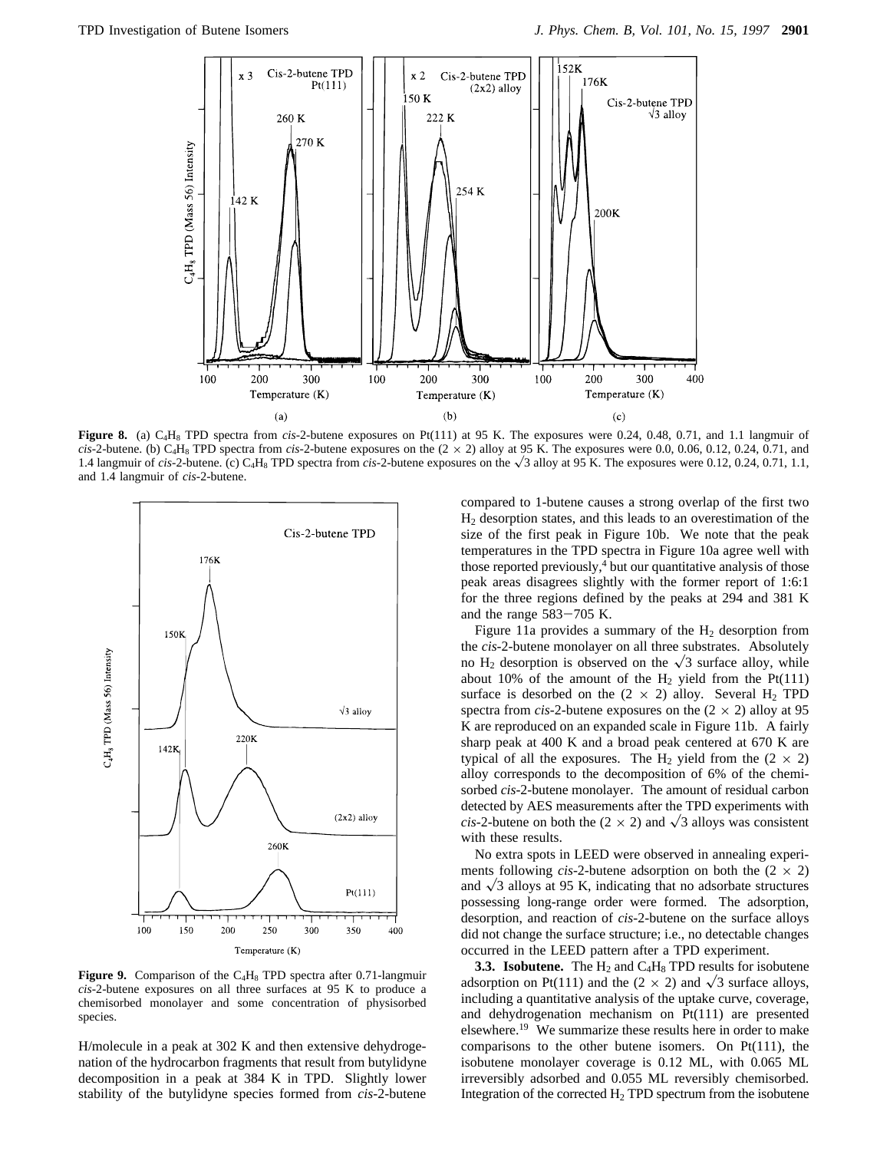

**Figure 8.** (a) C4H8 TPD spectra from *cis*-2-butene exposures on Pt(111) at 95 K. The exposures were 0.24, 0.48, 0.71, and 1.1 langmuir of *cis*-2-butene. (b) C<sub>4</sub>H<sub>8</sub> TPD spectra from *cis*-2-butene exposures on the  $(2 \times 2)$  alloy at 95 K. The exposures were 0.0, 0.06, 0.12, 0.24, 0.71, and 1.4 langmuir of *cis*-2-butene. (c) C<sub>4</sub>H<sub>8</sub> TPD spectra from *cis*-2-butene exposures on the  $\sqrt{3}$  alloy at 95 K. The exposures were 0.12, 0.24, 0.71, 1.1, and 1.4 langmuir of *cis*-2-butene.



**Figure 9.** Comparison of the C4H8 TPD spectra after 0.71-langmuir *cis*-2-butene exposures on all three surfaces at 95 K to produce a chemisorbed monolayer and some concentration of physisorbed species.

H/molecule in a peak at 302 K and then extensive dehydrogenation of the hydrocarbon fragments that result from butylidyne decomposition in a peak at 384 K in TPD. Slightly lower stability of the butylidyne species formed from *cis*-2-butene compared to 1-butene causes a strong overlap of the first two H2 desorption states, and this leads to an overestimation of the size of the first peak in Figure 10b. We note that the peak temperatures in the TPD spectra in Figure 10a agree well with those reported previously,<sup>4</sup> but our quantitative analysis of those peak areas disagrees slightly with the former report of 1:6:1 for the three regions defined by the peaks at 294 and 381 K and the range  $583-705$  K.

Figure 11a provides a summary of the  $H<sub>2</sub>$  desorption from the *cis*-2-butene monolayer on all three substrates. Absolutely no H<sub>2</sub> desorption is observed on the  $\sqrt{3}$  surface alloy, while about 10% of the amount of the  $H_2$  yield from the Pt(111) surface is desorbed on the  $(2 \times 2)$  alloy. Several H<sub>2</sub> TPD spectra from *cis*-2-butene exposures on the  $(2 \times 2)$  alloy at 95 K are reproduced on an expanded scale in Figure 11b. A fairly sharp peak at 400 K and a broad peak centered at 670 K are typical of all the exposures. The H<sub>2</sub> yield from the  $(2 \times 2)$ alloy corresponds to the decomposition of 6% of the chemisorbed *cis*-2-butene monolayer. The amount of residual carbon detected by AES measurements after the TPD experiments with *cis*-2-butene on both the (2  $\times$  2) and  $\sqrt{3}$  alloys was consistent with these results.

No extra spots in LEED were observed in annealing experiments following *cis*-2-butene adsorption on both the  $(2 \times 2)$ and  $\sqrt{3}$  alloys at 95 K, indicating that no adsorbate structures possessing long-range order were formed. The adsorption, desorption, and reaction of *cis*-2-butene on the surface alloys did not change the surface structure; i.e., no detectable changes occurred in the LEED pattern after a TPD experiment.

**3.3. Isobutene.** The  $H_2$  and  $C_4H_8$  TPD results for isobutene adsorption on Pt(111) and the (2  $\times$  2) and  $\sqrt{3}$  surface alloys, including a quantitative analysis of the uptake curve, coverage, and dehydrogenation mechanism on Pt(111) are presented elsewhere.19 We summarize these results here in order to make comparisons to the other butene isomers. On  $Pt(111)$ , the isobutene monolayer coverage is 0.12 ML, with 0.065 ML irreversibly adsorbed and 0.055 ML reversibly chemisorbed. Integration of the corrected  $H_2$  TPD spectrum from the isobutene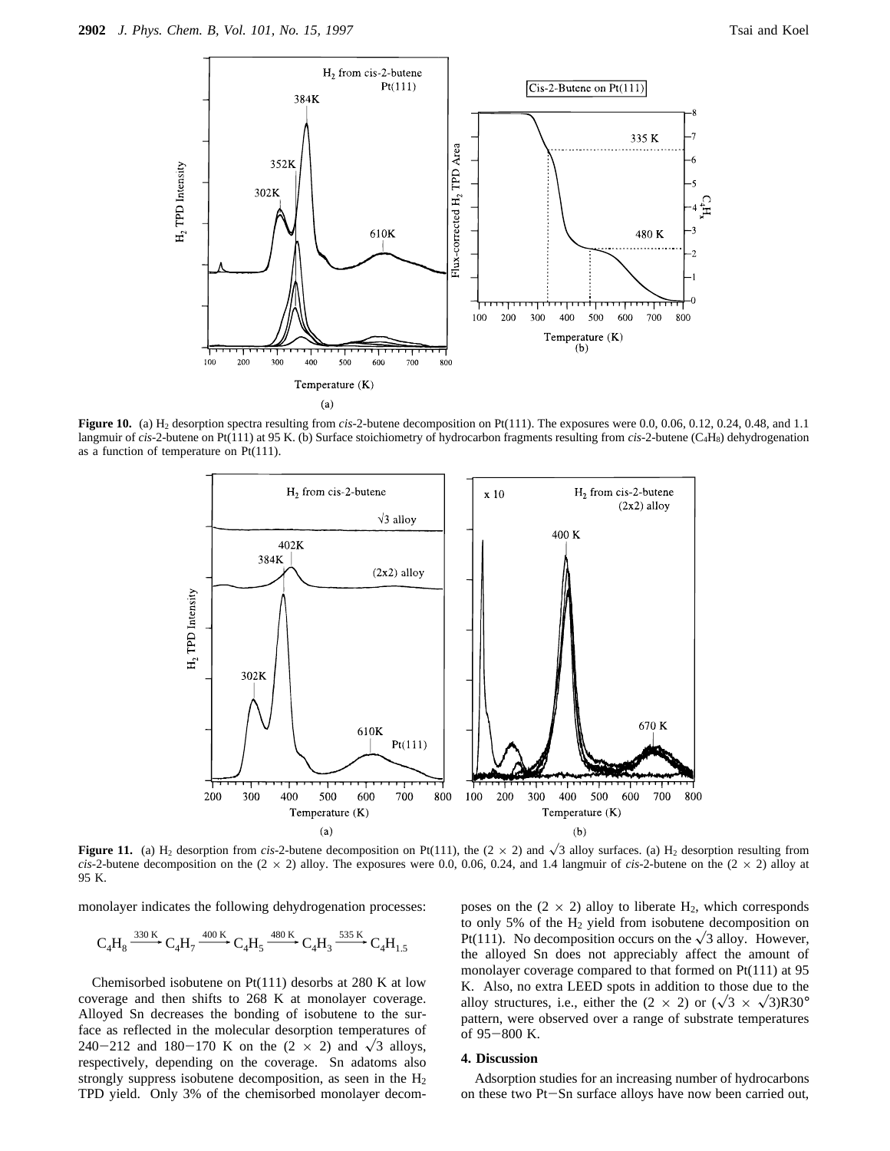

**Figure 10.** (a) H2 desorption spectra resulting from *cis*-2-butene decomposition on Pt(111). The exposures were 0.0, 0.06, 0.12, 0.24, 0.48, and 1.1 langmuir of *cis*-2-butene on Pt(111) at 95 K. (b) Surface stoichiometry of hydrocarbon fragments resulting from *cis*-2-butene (C4H8) dehydrogenation as a function of temperature on Pt(111).



**Figure 11.** (a) H<sub>2</sub> desorption from *cis*-2-butene decomposition on Pt(111), the (2 × 2) and  $\sqrt{3}$  alloy surfaces. (a) H<sub>2</sub> desorption resulting from *cis*-2-butene decomposition on the (2  $\times$  2) alloy. The exposures were 0.0, 0.06, 0.24, and 1.4 langmuir of *cis*-2-butene on the (2  $\times$  2) alloy at 95 K.

monolayer indicates the following dehydrogenation processes:

molayer indicates the following dehydrogenation process  
\n
$$
C_4H_8 \xrightarrow{330 \text{ K}} C_4H_7 \xrightarrow{400 \text{ K}} C_4H_5 \xrightarrow{480 \text{ K}} C_4H_3 \xrightarrow{535 \text{ K}} C_4H_{1.5}
$$

Chemisorbed isobutene on Pt(111) desorbs at 280 K at low coverage and then shifts to 268 K at monolayer coverage. Alloyed Sn decreases the bonding of isobutene to the surface as reflected in the molecular desorption temperatures of 240-212 and 180-170 K on the  $(2 \times 2)$  and  $\sqrt{3}$  alloys, respectively, depending on the coverage. Sn adatoms also strongly suppress isobutene decomposition, as seen in the  $H_2$ TPD yield. Only 3% of the chemisorbed monolayer decom-

poses on the  $(2 \times 2)$  alloy to liberate H<sub>2</sub>, which corresponds to only 5% of the  $H_2$  yield from isobutene decomposition on Pt(111). No decomposition occurs on the  $\sqrt{3}$  alloy. However, the alloyed Sn does not appreciably affect the amount of monolayer coverage compared to that formed on Pt(111) at 95 K. Also, no extra LEED spots in addition to those due to the alloy structures, i.e., either the  $(2 \times 2)$  or  $(\sqrt{3} \times \sqrt{3})R30^\circ$ pattern, were observed over a range of substrate temperatures of 95-800 K.

#### **4. Discussion**

Adsorption studies for an increasing number of hydrocarbons on these two Pt-Sn surface alloys have now been carried out,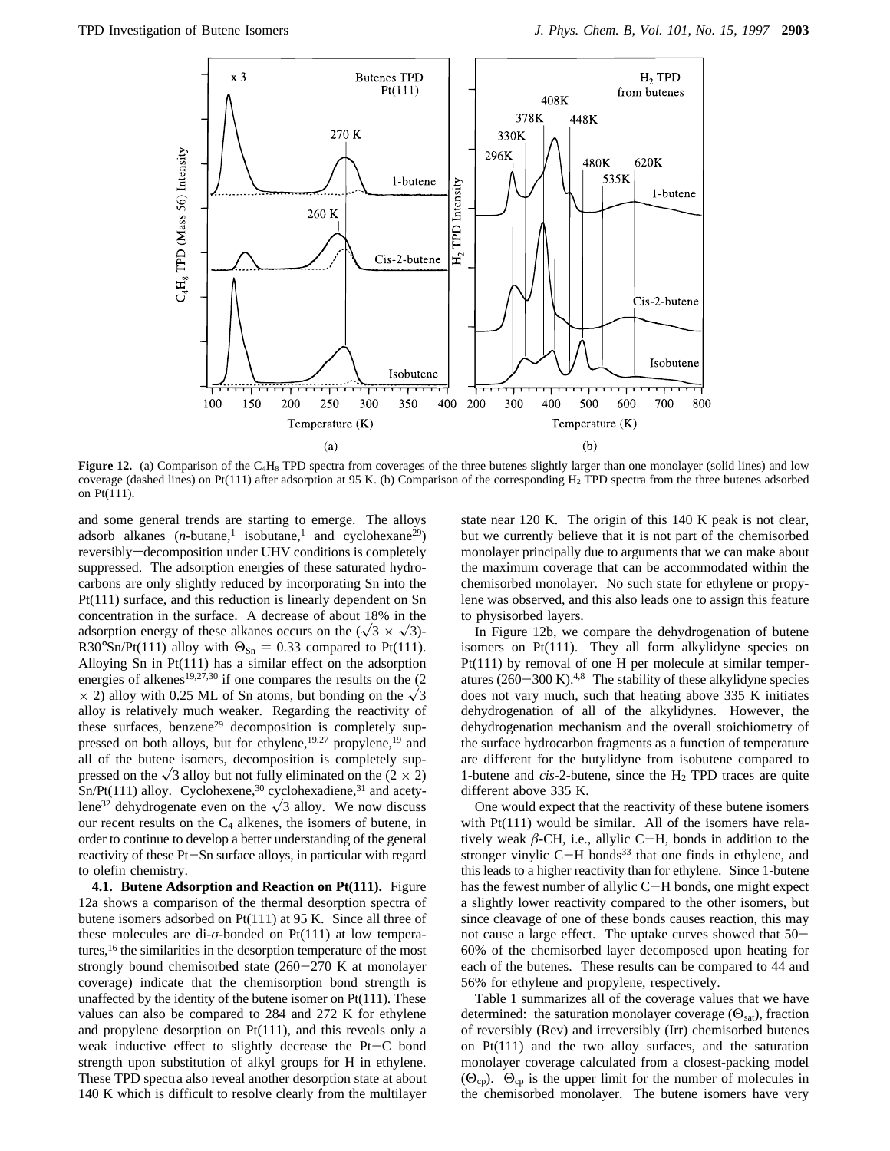

**Figure 12.** (a) Comparison of the C<sub>4</sub>H<sub>8</sub> TPD spectra from coverages of the three butenes slightly larger than one monolayer (solid lines) and low coverage (dashed lines) on Pt(111) after adsorption at 95 K. (b) Comparison of the corresponding H<sub>2</sub> TPD spectra from the three butenes adsorbed on Pt(111).

and some general trends are starting to emerge. The alloys adsorb alkanes  $(n$ -butane,<sup>1</sup> isobutane,<sup>1</sup> and cyclohexane<sup>29</sup>) reversibly—decomposition under UHV conditions is completely suppressed. The adsorption energies of these saturated hydrocarbons are only slightly reduced by incorporating Sn into the Pt(111) surface, and this reduction is linearly dependent on Sn concentration in the surface. A decrease of about 18% in the adsorption energy of these alkanes occurs on the  $(\sqrt{3} \times \sqrt{3})$ -R30°Sn/Pt(111) alloy with  $\Theta_{\text{Sn}} = 0.33$  compared to Pt(111). Alloying Sn in Pt(111) has a similar effect on the adsorption energies of alkenes<sup>19,27,30</sup> if one compares the results on the  $(2)$  $\times$  2) alloy with 0.25 ML of Sn atoms, but bonding on the  $\sqrt{3}$ alloy is relatively much weaker. Regarding the reactivity of these surfaces, benzene<sup>29</sup> decomposition is completely suppressed on both alloys, but for ethylene,<sup>19,27</sup> propylene,<sup>19</sup> and all of the butene isomers, decomposition is completely suppressed on the  $\sqrt{3}$  alloy but not fully eliminated on the (2  $\times$  2)  $Sn/Pt(111)$  alloy. Cyclohexene,<sup>30</sup> cyclohexadiene,<sup>31</sup> and acetylene<sup>32</sup> dehydrogenate even on the  $\sqrt{3}$  alloy. We now discuss our recent results on the  $C_4$  alkenes, the isomers of butene, in order to continue to develop a better understanding of the general reactivity of these Pt-Sn surface alloys, in particular with regard to olefin chemistry.

**4.1. Butene Adsorption and Reaction on Pt(111).** Figure 12a shows a comparison of the thermal desorption spectra of butene isomers adsorbed on Pt(111) at 95 K. Since all three of these molecules are di- $\sigma$ -bonded on Pt(111) at low temperatures,16 the similarities in the desorption temperature of the most strongly bound chemisorbed state (260-270 K at monolayer coverage) indicate that the chemisorption bond strength is unaffected by the identity of the butene isomer on Pt(111). These values can also be compared to 284 and 272 K for ethylene and propylene desorption on Pt(111), and this reveals only a weak inductive effect to slightly decrease the Pt-C bond strength upon substitution of alkyl groups for H in ethylene. These TPD spectra also reveal another desorption state at about 140 K which is difficult to resolve clearly from the multilayer

state near 120 K. The origin of this 140 K peak is not clear, but we currently believe that it is not part of the chemisorbed monolayer principally due to arguments that we can make about the maximum coverage that can be accommodated within the chemisorbed monolayer. No such state for ethylene or propylene was observed, and this also leads one to assign this feature to physisorbed layers.

In Figure 12b, we compare the dehydrogenation of butene isomers on Pt(111). They all form alkylidyne species on Pt(111) by removal of one H per molecule at similar temperatures  $(260-300 \text{ K})$ .<sup>4,8</sup> The stability of these alkylidyne species does not vary much, such that heating above 335 K initiates dehydrogenation of all of the alkylidynes. However, the dehydrogenation mechanism and the overall stoichiometry of the surface hydrocarbon fragments as a function of temperature are different for the butylidyne from isobutene compared to 1-butene and *cis*-2-butene, since the H<sub>2</sub> TPD traces are quite different above 335 K.

One would expect that the reactivity of these butene isomers with Pt(111) would be similar. All of the isomers have relatively weak  $\beta$ -CH, i.e., allylic C-H, bonds in addition to the stronger vinylic  $C-H$  bonds<sup>33</sup> that one finds in ethylene, and this leads to a higher reactivity than for ethylene. Since 1-butene has the fewest number of allylic C-H bonds, one might expect a slightly lower reactivity compared to the other isomers, but since cleavage of one of these bonds causes reaction, this may not cause a large effect. The uptake curves showed that 50- 60% of the chemisorbed layer decomposed upon heating for each of the butenes. These results can be compared to 44 and 56% for ethylene and propylene, respectively.

Table 1 summarizes all of the coverage values that we have determined: the saturation monolayer coverage  $(\Theta_{sat})$ , fraction of reversibly (Rev) and irreversibly (Irr) chemisorbed butenes on Pt(111) and the two alloy surfaces, and the saturation monolayer coverage calculated from a closest-packing model  $(\Theta_{cp})$ .  $\Theta_{cp}$  is the upper limit for the number of molecules in the chemisorbed monolayer. The butene isomers have very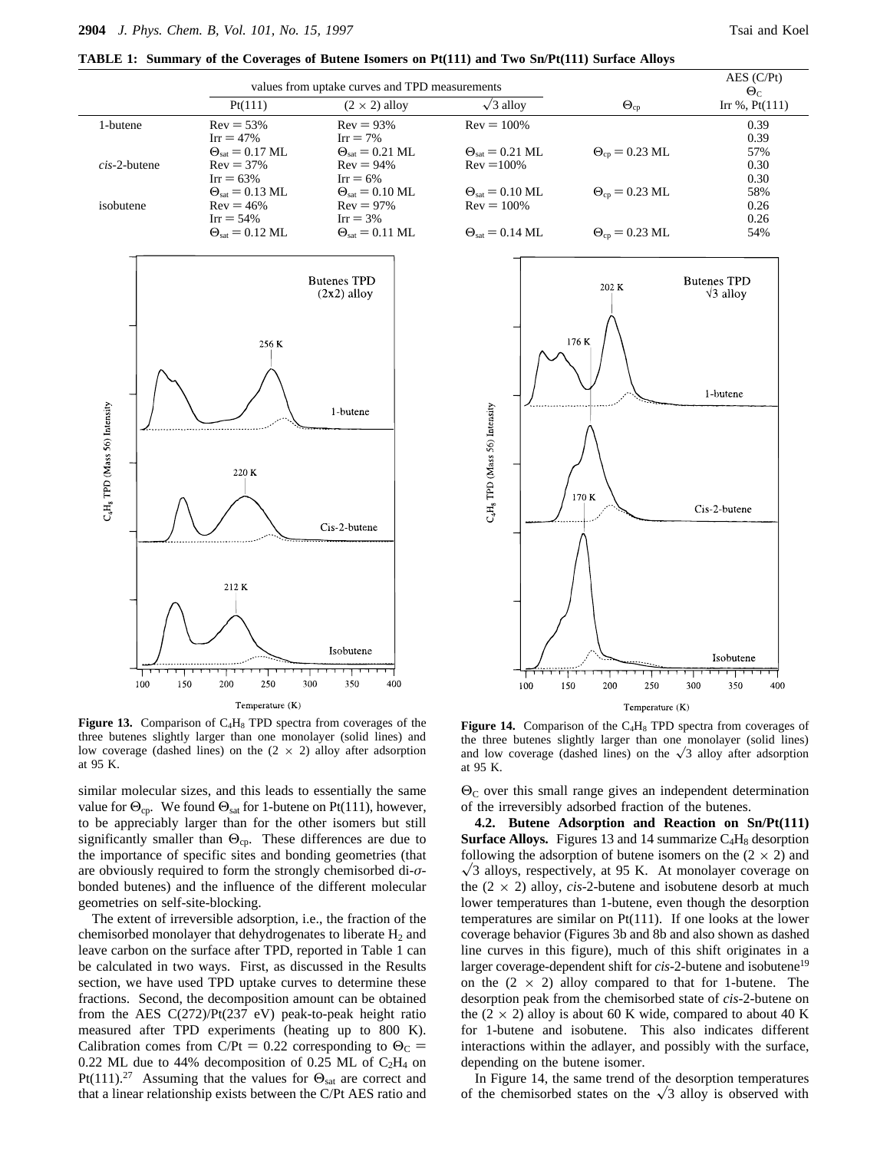**TABLE 1: Summary of the Coverages of Butene Isomers on Pt(111) and Two Sn/Pt(111) Surface Alloys**

|                 | values from uptake curves and TPD measurements |                              |                              |                             | AES (C/Pt)<br>$\Theta_{\text{C}}$ |
|-----------------|------------------------------------------------|------------------------------|------------------------------|-----------------------------|-----------------------------------|
|                 | Pt(111)                                        | $(2 \times 2)$ alloy         | $\sqrt{3}$ alloy             | $\Theta_{cp}$               | Irr $\%$ , Pt $(111)$             |
| 1-butene        | $Rev = 53%$                                    | $Rev = 93%$                  | $Rev = 100\%$                |                             | 0.39                              |
|                 | $Irr = 47%$                                    | $Irr = 7\%$                  |                              |                             | 0.39                              |
|                 | $\Theta_{\rm sat} = 0.17$ ML                   | $\Theta_{\rm sat} = 0.21$ ML | $\Theta_{\rm sat} = 0.21$ ML | $\Theta_{\rm cn}$ = 0.23 ML | 57%                               |
| $cis-2$ -butene | $Rev = 37%$                                    | $Rev = 94%$                  | $Rev = 100\%$                |                             | 0.30                              |
|                 | $Ir = 63\%$                                    | $Ir = 6\%$                   |                              |                             | 0.30                              |
|                 | $\Theta_{\rm sat} = 0.13$ ML                   | $\Theta_{\rm sat} = 0.10$ ML | $\Theta_{\rm sat} = 0.10$ ML | $\Theta_{\rm cn}$ = 0.23 ML | 58%                               |
| isobutene       | $Rev = 46%$                                    | $Rev = 97\%$                 | $Rev = 100\%$                |                             | 0.26                              |
|                 | $Ir = 54\%$                                    | $Irr = 3%$                   |                              |                             | 0.26                              |
|                 | $\Theta_{\rm sat} = 0.12$ ML                   | $\Theta_{\rm sat} = 0.11$ ML | $\Theta_{\rm sat} = 0.14$ ML | $\Theta_{\rm cn}$ = 0.23 ML | 54%                               |



Figure 13. Comparison of C<sub>4</sub>H<sub>8</sub> TPD spectra from coverages of the three butenes slightly larger than one monolayer (solid lines) and low coverage (dashed lines) on the  $(2 \times 2)$  alloy after adsorption at 95 K.

similar molecular sizes, and this leads to essentially the same value for  $\Theta_{\rm cp}$ . We found  $\Theta_{\rm sat}$  for 1-butene on Pt(111), however, to be appreciably larger than for the other isomers but still significantly smaller than  $\Theta_{cp}$ . These differences are due to the importance of specific sites and bonding geometries (that are obviously required to form the strongly chemisorbed di-*σ*bonded butenes) and the influence of the different molecular geometries on self-site-blocking.

The extent of irreversible adsorption, i.e., the fraction of the chemisorbed monolayer that dehydrogenates to liberate  $H_2$  and leave carbon on the surface after TPD, reported in Table 1 can be calculated in two ways. First, as discussed in the Results section, we have used TPD uptake curves to determine these fractions. Second, the decomposition amount can be obtained from the AES C(272)/Pt(237 eV) peak-to-peak height ratio measured after TPD experiments (heating up to 800 K). Calibration comes from C/Pt = 0.22 corresponding to  $\Theta_C$  = 0.22 ML due to 44% decomposition of 0.25 ML of  $C_2H_4$  on Pt(111).<sup>27</sup> Assuming that the values for  $\Theta_{\text{sat}}$  are correct and that a linear relationship exists between the C/Pt AES ratio and



Figure 14. Comparison of the C<sub>4</sub>H<sub>8</sub> TPD spectra from coverages of the three butenes slightly larger than one monolayer (solid lines) and low coverage (dashed lines) on the  $\sqrt{3}$  alloy after adsorption at 95 K.

 $\Theta_{\rm C}$  over this small range gives an independent determination of the irreversibly adsorbed fraction of the butenes.

**4.2. Butene Adsorption and Reaction on Sn/Pt(111) Surface Alloys.** Figures 13 and 14 summarize  $C_4H_8$  desorption following the adsorption of butene isomers on the  $(2 \times 2)$  and  $\sqrt{3}$  alloys, respectively, at 95 K. At monolayer coverage on the  $(2 \times 2)$  alloy, *cis*-2-butene and isobutene desorb at much lower temperatures than 1-butene, even though the desorption temperatures are similar on Pt(111). If one looks at the lower coverage behavior (Figures 3b and 8b and also shown as dashed line curves in this figure), much of this shift originates in a larger coverage-dependent shift for *cis*-2-butene and isobutene<sup>19</sup> on the  $(2 \times 2)$  alloy compared to that for 1-butene. The desorption peak from the chemisorbed state of *cis*-2-butene on the  $(2 \times 2)$  alloy is about 60 K wide, compared to about 40 K for 1-butene and isobutene. This also indicates different interactions within the adlayer, and possibly with the surface, depending on the butene isomer.

In Figure 14, the same trend of the desorption temperatures of the chemisorbed states on the  $\sqrt{3}$  alloy is observed with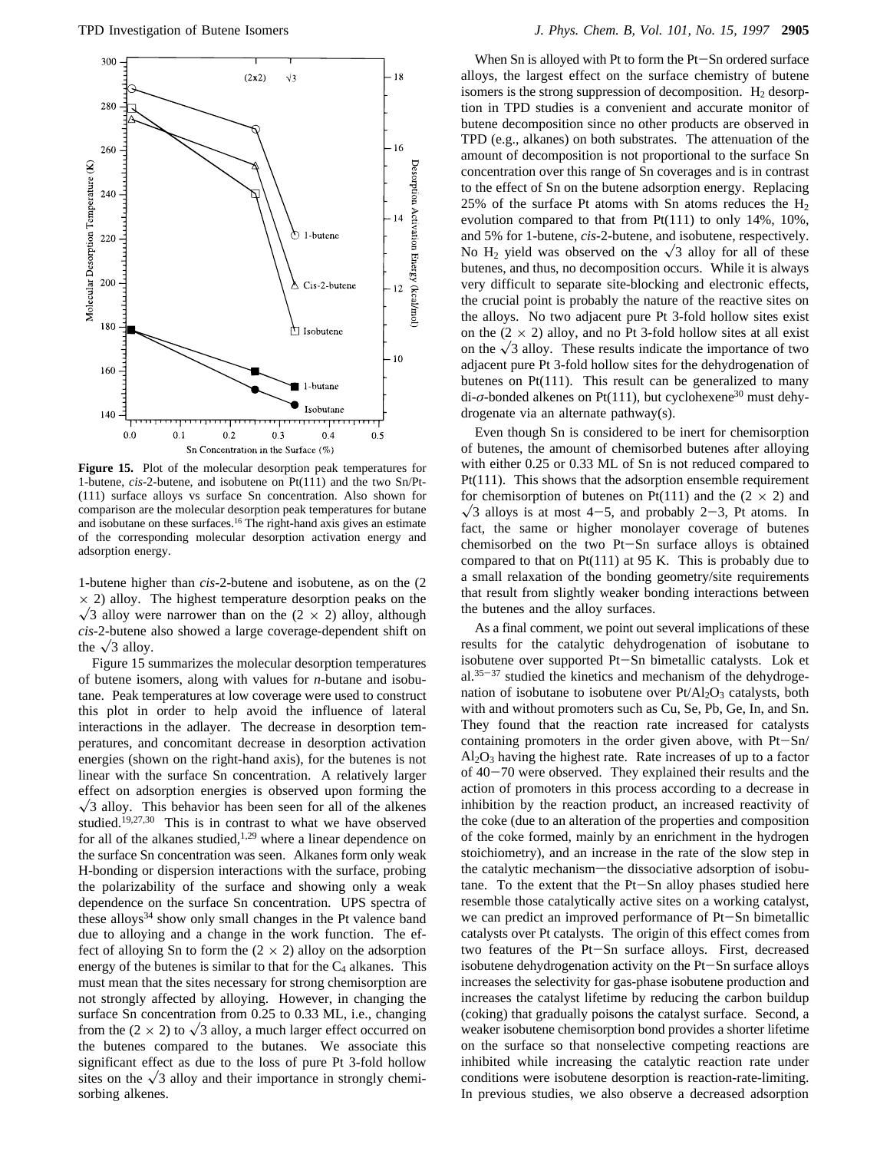

**Figure 15.** Plot of the molecular desorption peak temperatures for 1-butene, *cis*-2-butene, and isobutene on Pt(111) and the two Sn/Pt- (111) surface alloys vs surface Sn concentration. Also shown for comparison are the molecular desorption peak temperatures for butane and isobutane on these surfaces.16 The right-hand axis gives an estimate of the corresponding molecular desorption activation energy and adsorption energy.

1-butene higher than *cis*-2-butene and isobutene, as on the (2  $\times$  2) alloy. The highest temperature desorption peaks on the  $\sqrt{3}$  alloy were narrower than on the (2  $\times$  2) alloy, although *cis*-2-butene also showed a large coverage-dependent shift on the  $\sqrt{3}$  alloy.

Figure 15 summarizes the molecular desorption temperatures of butene isomers, along with values for *n*-butane and isobutane. Peak temperatures at low coverage were used to construct this plot in order to help avoid the influence of lateral interactions in the adlayer. The decrease in desorption temperatures, and concomitant decrease in desorption activation energies (shown on the right-hand axis), for the butenes is not linear with the surface Sn concentration. A relatively larger effect on adsorption energies is observed upon forming the  $\sqrt{3}$  alloy. This behavior has been seen for all of the alkenes studied.<sup>19,27,30</sup> This is in contrast to what we have observed for all of the alkanes studied,<sup>1,29</sup> where a linear dependence on the surface Sn concentration was seen. Alkanes form only weak H-bonding or dispersion interactions with the surface, probing the polarizability of the surface and showing only a weak dependence on the surface Sn concentration. UPS spectra of these alloys<sup>34</sup> show only small changes in the Pt valence band due to alloying and a change in the work function. The effect of alloying Sn to form the  $(2 \times 2)$  alloy on the adsorption energy of the butenes is similar to that for the  $C_4$  alkanes. This must mean that the sites necessary for strong chemisorption are not strongly affected by alloying. However, in changing the surface Sn concentration from 0.25 to 0.33 ML, i.e., changing from the (2  $\times$  2) to  $\sqrt{3}$  alloy, a much larger effect occurred on the butenes compared to the butanes. We associate this significant effect as due to the loss of pure Pt 3-fold hollow sites on the  $\sqrt{3}$  alloy and their importance in strongly chemisorbing alkenes.

When Sn is alloyed with Pt to form the Pt-Sn ordered surface alloys, the largest effect on the surface chemistry of butene isomers is the strong suppression of decomposition.  $H_2$  desorption in TPD studies is a convenient and accurate monitor of butene decomposition since no other products are observed in TPD (e.g., alkanes) on both substrates. The attenuation of the amount of decomposition is not proportional to the surface Sn concentration over this range of Sn coverages and is in contrast to the effect of Sn on the butene adsorption energy. Replacing 25% of the surface Pt atoms with Sn atoms reduces the  $H_2$ evolution compared to that from Pt(111) to only 14%, 10%, and 5% for 1-butene, *cis*-2-butene, and isobutene, respectively. No H<sub>2</sub> yield was observed on the  $\sqrt{3}$  alloy for all of these butenes, and thus, no decomposition occurs. While it is always very difficult to separate site-blocking and electronic effects, the crucial point is probably the nature of the reactive sites on the alloys. No two adjacent pure Pt 3-fold hollow sites exist on the  $(2 \times 2)$  alloy, and no Pt 3-fold hollow sites at all exist on the  $\sqrt{3}$  alloy. These results indicate the importance of two adjacent pure Pt 3-fold hollow sites for the dehydrogenation of butenes on  $Pt(111)$ . This result can be generalized to many di-σ-bonded alkenes on Pt(111), but cyclohexene<sup>30</sup> must dehydrogenate via an alternate pathway(s).

Even though Sn is considered to be inert for chemisorption of butenes, the amount of chemisorbed butenes after alloying with either 0.25 or 0.33 ML of Sn is not reduced compared to Pt(111). This shows that the adsorption ensemble requirement for chemisorption of butenes on Pt(111) and the  $(2 \times 2)$  and  $\sqrt{3}$  alloys is at most 4-5, and probably 2-3, Pt atoms. In fact, the same or higher monolayer coverage of butenes chemisorbed on the two Pt-Sn surface alloys is obtained compared to that on  $Pt(111)$  at 95 K. This is probably due to a small relaxation of the bonding geometry/site requirements that result from slightly weaker bonding interactions between the butenes and the alloy surfaces.

As a final comment, we point out several implications of these results for the catalytic dehydrogenation of isobutane to isobutene over supported Pt-Sn bimetallic catalysts. Lok et  $al.^{35-37}$  studied the kinetics and mechanism of the dehydrogenation of isobutane to isobutene over  $Pt/Al<sub>2</sub>O<sub>3</sub>$  catalysts, both with and without promoters such as Cu, Se, Pb, Ge, In, and Sn. They found that the reaction rate increased for catalysts containing promoters in the order given above, with Pt-Sn/  $Al<sub>2</sub>O<sub>3</sub>$  having the highest rate. Rate increases of up to a factor of 40-70 were observed. They explained their results and the action of promoters in this process according to a decrease in inhibition by the reaction product, an increased reactivity of the coke (due to an alteration of the properties and composition of the coke formed, mainly by an enrichment in the hydrogen stoichiometry), and an increase in the rate of the slow step in the catalytic mechanism-the dissociative adsorption of isobutane. To the extent that the Pt-Sn alloy phases studied here resemble those catalytically active sites on a working catalyst, we can predict an improved performance of Pt-Sn bimetallic catalysts over Pt catalysts. The origin of this effect comes from two features of the Pt-Sn surface alloys. First, decreased isobutene dehydrogenation activity on the Pt-Sn surface alloys increases the selectivity for gas-phase isobutene production and increases the catalyst lifetime by reducing the carbon buildup (coking) that gradually poisons the catalyst surface. Second, a weaker isobutene chemisorption bond provides a shorter lifetime on the surface so that nonselective competing reactions are inhibited while increasing the catalytic reaction rate under conditions were isobutene desorption is reaction-rate-limiting. In previous studies, we also observe a decreased adsorption